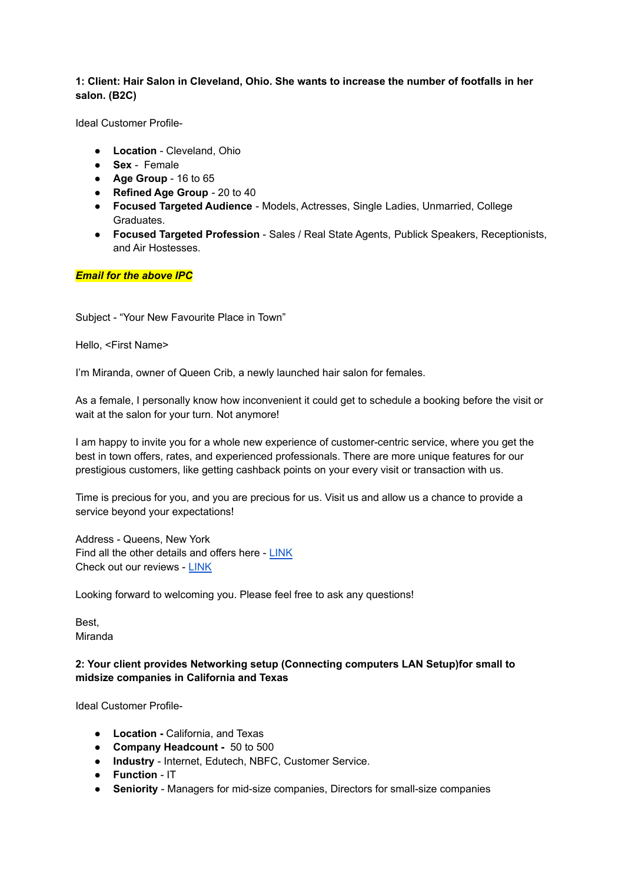### **1: Client: Hair Salon in Cleveland, Ohio. She wants to increase the number of footfalls in her salon. (B2C)**

Ideal Customer Profile-

- **Location** Cleveland, Ohio
- **Sex** Female
- **Age Group** 16 to 65
- **Refined Age Group** 20 to 40
- **Focused Targeted Audience** Models, Actresses, Single Ladies, Unmarried, College Graduates.
- **Focused Targeted Profession** Sales / Real State Agents, Publick Speakers, Receptionists, and Air Hostesses.

*Email for the above IPC*

Subject - "Your New Favourite Place in Town"

Hello, <First Name>

I'm Miranda, owner of Queen Crib, a newly launched hair salon for females.

As a female, I personally know how inconvenient it could get to schedule a booking before the visit or wait at the salon for your turn. Not anymore!

I am happy to invite you for a whole new experience of customer-centric service, where you get the best in town offers, rates, and experienced professionals. There are more unique features for our prestigious customers, like getting cashback points on your every visit or transaction with us.

Time is precious for you, and you are precious for us. Visit us and allow us a chance to provide a service beyond your expectations!

Address - Queens, New York Find all the other details and offers here - [LINK](http://www.google.com) Check out our reviews - [LINK](http://www.google.com)

Looking forward to welcoming you. Please feel free to ask any questions!

Best, Miranda

## **2: Your client provides Networking setup (Connecting computers LAN Setup)for small to midsize companies in California and Texas**

Ideal Customer Profile-

- **● Location -** California, and Texas
- **● Company Headcount -** 50 to 500
- **Industry** Internet, Edutech, NBFC, Customer Service.
- **Function** IT
- **Seniority** Managers for mid-size companies, Directors for small-size companies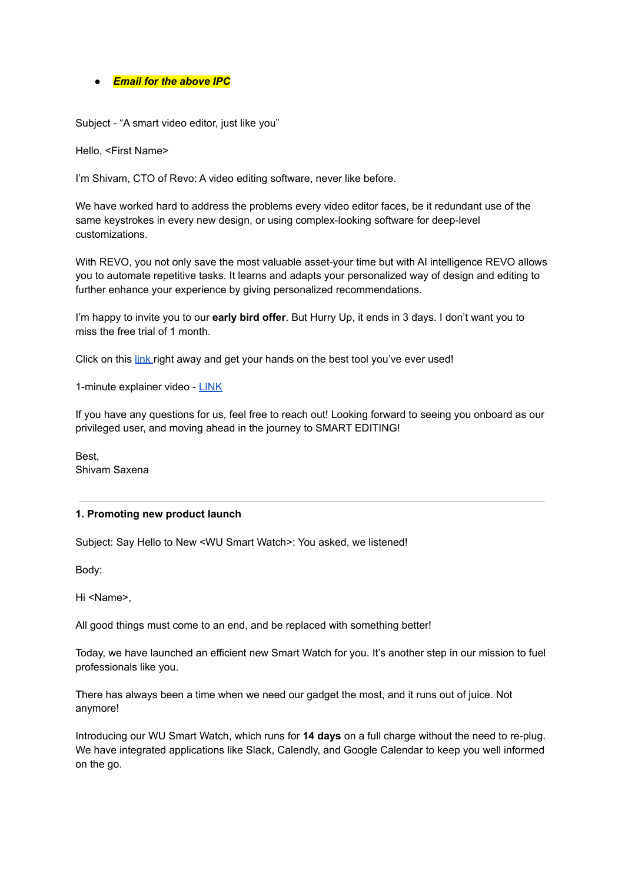#### ● *Email for the above IPC*

Subject - "A smart video editor, just like you"

Hello, <First Name>

I'm Shivam, CTO of Revo: A video editing software, never like before.

We have worked hard to address the problems every video editor faces, be it redundant use of the same keystrokes in every new design, or using complex-looking software for deep-level customizations.

With REVO, you not only save the most valuable asset-your time but with AI intelligence REVO allows you to automate repetitive tasks. It learns and adapts your personalized way of design and editing to further enhance your experience by giving personalized recommendations.

I'm happy to invite you to our **early bird offer**. But Hurry Up, it ends in 3 days. I don't want you to miss the free trial of 1 month.

Click on this [link](http://www.google.com) right away and get your hands on the best tool you've ever used!

1-minute explainer video - [LINK](http://www.google.com)

If you have any questions for us, feel free to reach out! Looking forward to seeing you onboard as our privileged user, and moving ahead in the journey to SMART EDITING!

Best, Shivam Saxena

#### **1. Promoting new product launch**

Subject: Say Hello to New <WU Smart Watch>: You asked, we listened!

Body:

Hi <Name>,

All good things must come to an end, and be replaced with something better!

Today, we have launched an efficient new Smart Watch for you. It's another step in our mission to fuel professionals like you.

There has always been a time when we need our gadget the most, and it runs out of juice. Not anymore!

Introducing our WU Smart Watch, which runs for **14 days** on a full charge without the need to re-plug. We have integrated applications like Slack, Calendly, and Google Calendar to keep you well informed on the go.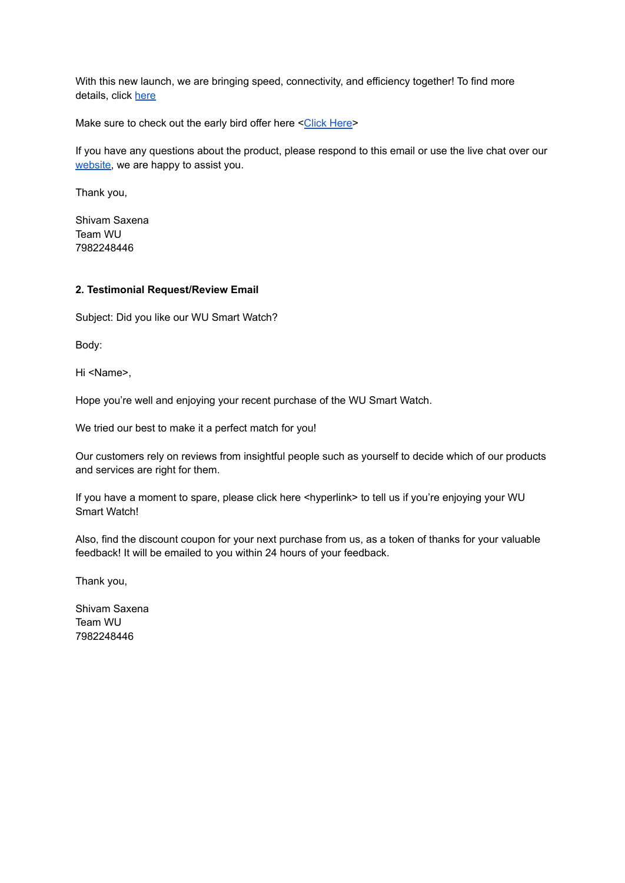With this new launch, we are bringing speed, connectivity, and efficiency together! To find more details, click [here](https://minixstore.in/product/minix-zero/)

Make sure to check out the early bird offer here <Click [Here](http://www.google.com)>

If you have any questions about the product, please respond to this email or use the live chat over our [website,](http://www.google.com) we are happy to assist you.

Thank you,

Shivam Saxena Team WU 7982248446

#### **2. Testimonial Request/Review Email**

Subject: Did you like our WU Smart Watch?

Body:

Hi <Name>,

Hope you're well and enjoying your recent purchase of the WU Smart Watch.

We tried our best to make it a perfect match for you!

Our customers rely on reviews from insightful people such as yourself to decide which of our products and services are right for them.

If you have a moment to spare, please click here <hyperlink> to tell us if you're enjoying your WU Smart Watch!

Also, find the discount coupon for your next purchase from us, as a token of thanks for your valuable feedback! It will be emailed to you within 24 hours of your feedback.

Thank you,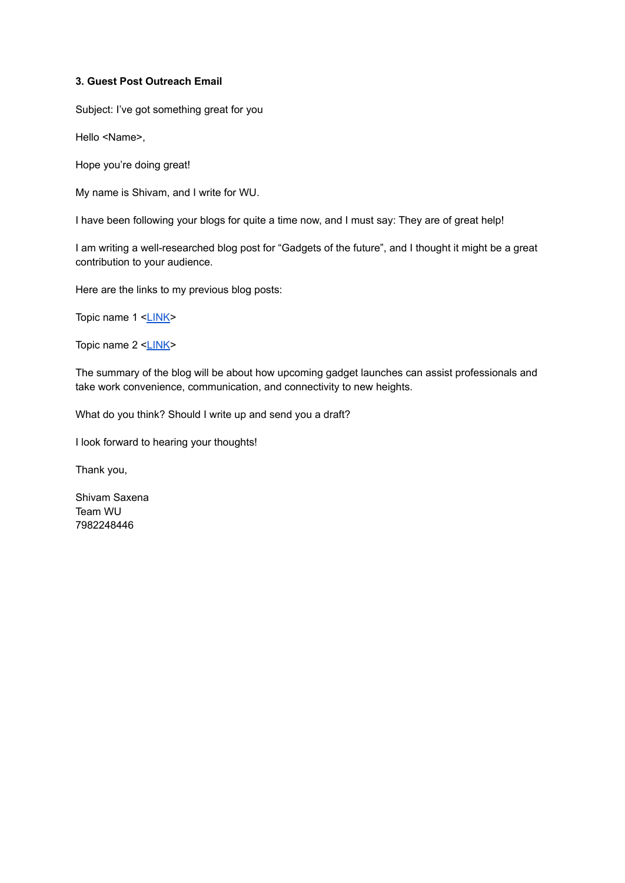#### **3. Guest Post Outreach Email**

Subject: I've got something great for you

Hello <Name>,

Hope you're doing great!

My name is Shivam, and I write for WU.

I have been following your blogs for quite a time now, and I must say: They are of great help!

I am writing a well-researched blog post for "Gadgets of the future", and I thought it might be a great contribution to your audience.

Here are the links to my previous blog posts:

Topic name 1 [<LINK](http://www.google.com)>

Topic name 2 [<LINK](http://www.google.com)>

The summary of the blog will be about how upcoming gadget launches can assist professionals and take work convenience, communication, and connectivity to new heights.

What do you think? Should I write up and send you a draft?

I look forward to hearing your thoughts!

Thank you,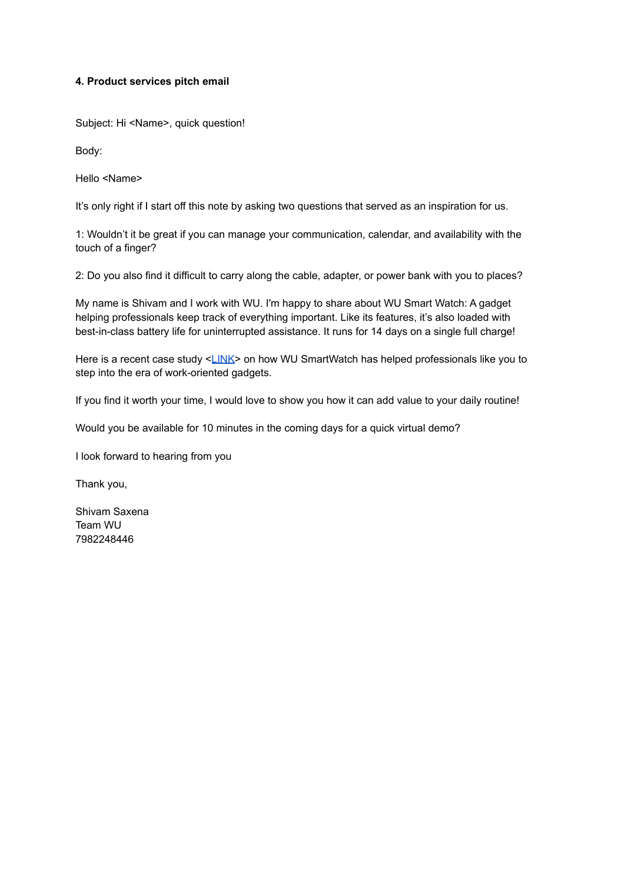### **4. Product services pitch email**

Subject: Hi <Name>, quick question!

Body:

Hello <Name>

It's only right if I start off this note by asking two questions that served as an inspiration for us.

1: Wouldn't it be great if you can manage your communication, calendar, and availability with the touch of a finger?

2: Do you also find it difficult to carry along the cable, adapter, or power bank with you to places?

My name is Shivam and I work with WU. I'm happy to share about WU Smart Watch: A gadget helping professionals keep track of everything important. Like its features, it's also loaded with best-in-class battery life for uninterrupted assistance. It runs for 14 days on a single full charge!

Here is a recent case study <[LINK>](http://www.google.com) on how WU SmartWatch has helped professionals like you to step into the era of work-oriented gadgets.

If you find it worth your time, I would love to show you how it can add value to your daily routine!

Would you be available for 10 minutes in the coming days for a quick virtual demo?

I look forward to hearing from you

Thank you,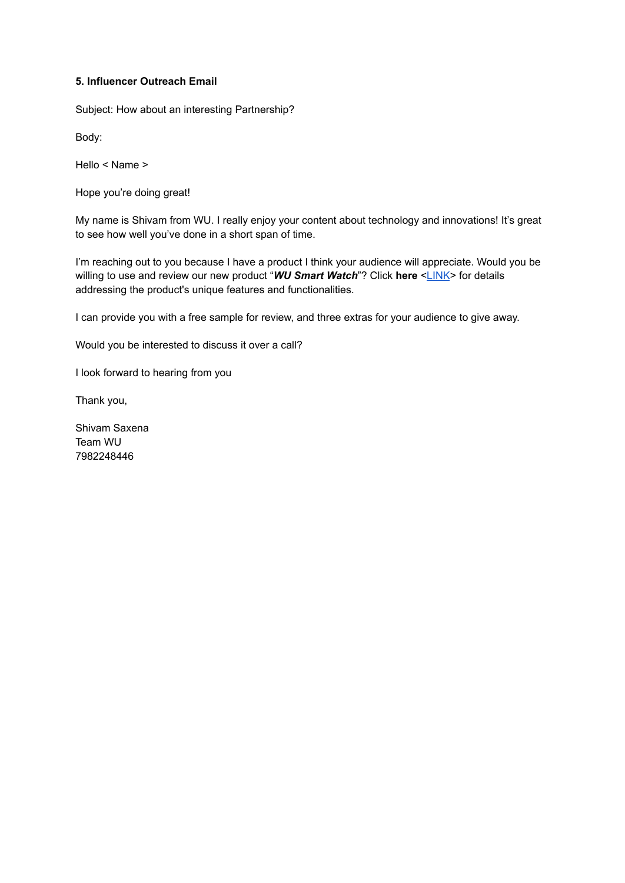# **5. Influencer Outreach Email**

Subject: How about an interesting Partnership?

Body:

Hello < Name >

Hope you're doing great!

My name is Shivam from WU. I really enjoy your content about technology and innovations! It's great to see how well you've done in a short span of time.

I'm reaching out to you because I have a product I think your audience will appreciate. Would you be willing to use and review our new product "*WU Smart Watch*"? Click **here** [<LINK](http://www.google.com)> for details addressing the product's unique features and functionalities.

I can provide you with a free sample for review, and three extras for your audience to give away.

Would you be interested to discuss it over a call?

I look forward to hearing from you

Thank you,